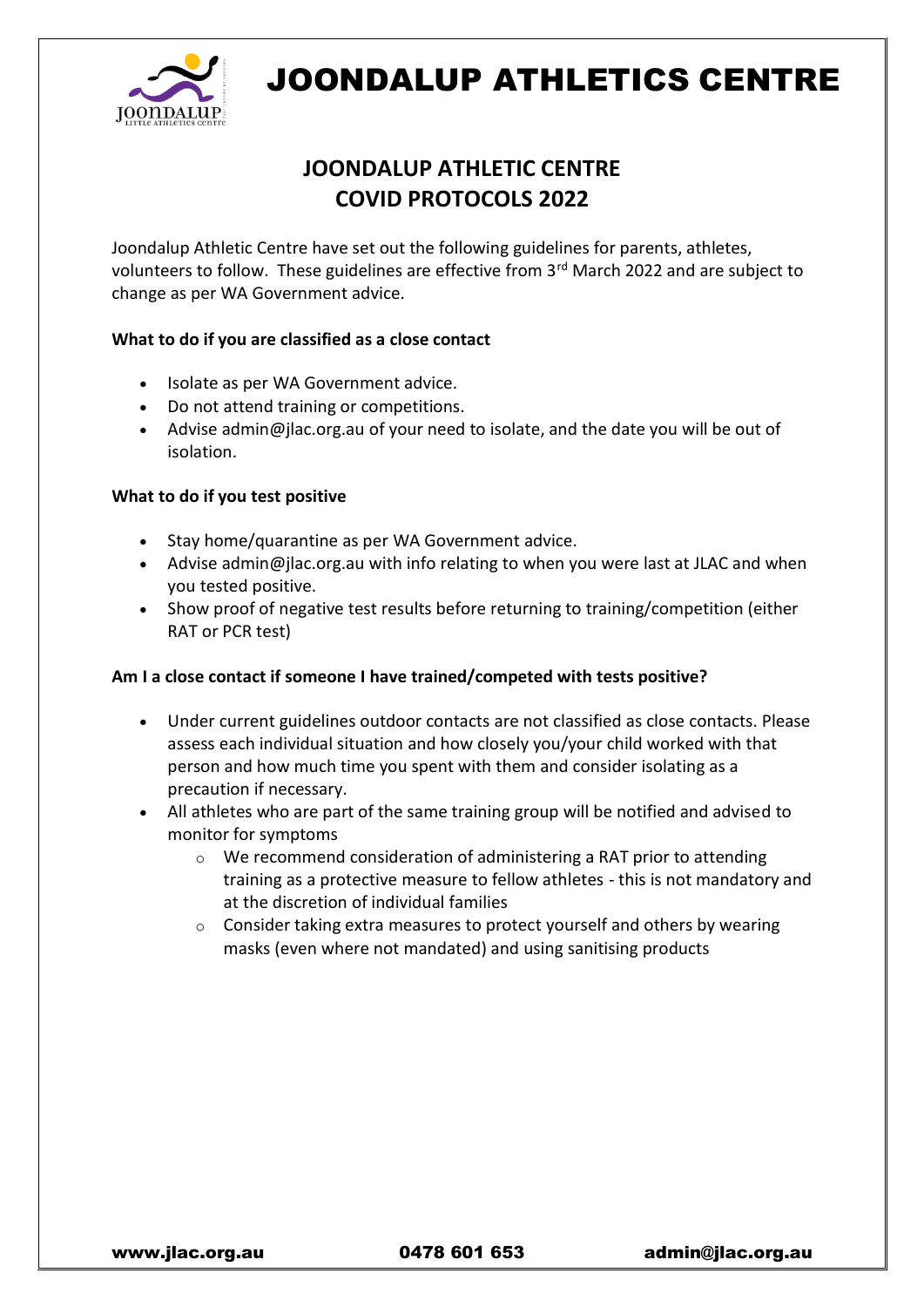

## JOONDALUP ATHLETICS CENTRE

### **JOONDALUP ATHLETIC CENTRE COVID PROTOCOLS 2022**

Joondalup Athletic Centre have set out the following guidelines for parents, athletes, volunteers to follow. These guidelines are effective from 3<sup>rd</sup> March 2022 and are subject to change as per WA Government advice.

#### **What to do if you are classified as a close contact**

- Isolate as per WA Government advice.
- Do not attend training or competitions.
- Advise admin@jlac.org.au of your need to isolate, and the date you will be out of isolation.

#### **What to do if you test positive**

- Stay home/quarantine as per WA Government advice.
- Advise admin@jlac.org.au with info relating to when you were last at JLAC and when you tested positive.
- Show proof of negative test results before returning to training/competition (either RAT or PCR test)

#### **Am I a close contact if someone I have trained/competed with tests positive?**

- Under current guidelines outdoor contacts are not classified as close contacts. Please assess each individual situation and how closely you/your child worked with that person and how much time you spent with them and consider isolating as a precaution if necessary.
- All athletes who are part of the same training group will be notified and advised to monitor for symptoms
	- o We recommend consideration of administering a RAT prior to attending training as a protective measure to fellow athletes - this is not mandatory and at the discretion of individual families
	- o Consider taking extra measures to protect yourself and others by wearing masks (even where not mandated) and using sanitising products